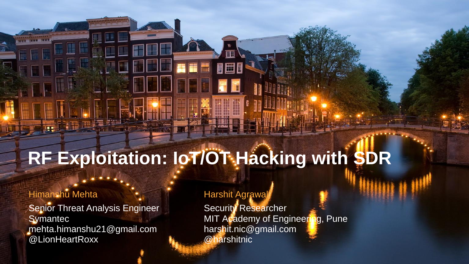### **RF Exploitation: IoT/OT Hacking with SDR**

#### Himanshu Mehta

Senior Threat Analysis Engineer **Symantec** mehta.himanshu21@gmail.com @LionHeartRoxx

#### Harshit Agrawal

Security Researcher MIT Academy of Engineering, Pune harshit.nic@gmail.com @harshitnic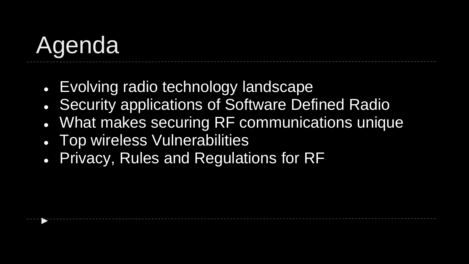# Agenda

►

- Evolving radio technology landscape
- Security applications of Software Defined Radio
- What makes securing RF communications unique
- Top wireless Vulnerabilities
- Privacy, Rules and Regulations for RF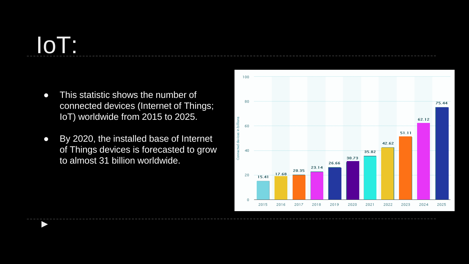# IoT:

►

- This statistic shows the number of connected devices (Internet of Things; IoT) worldwide from 2015 to 2025.
- By 2020, the installed base of Internet of Things devices is forecasted to grow to almost 31 billion worldwide.

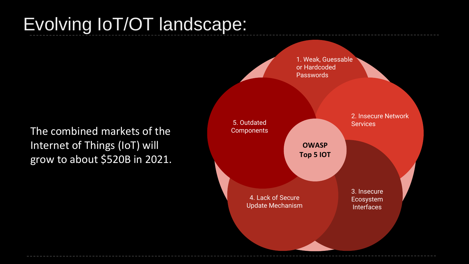#### Evolving IoT/OT landscape:

The combined markets of the Internet of Things (IoT) will grow to about \$520B in 2021.

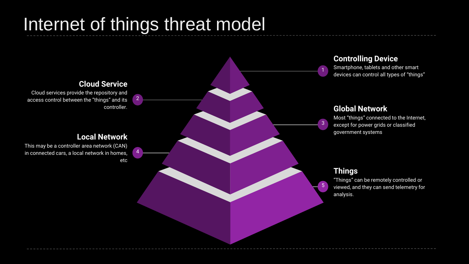#### Internet of things threat model

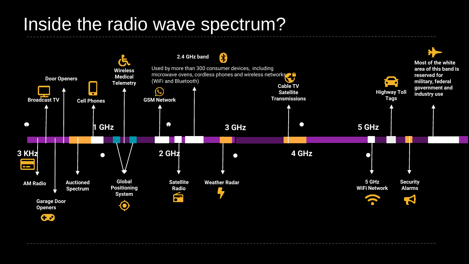#### Inside the radio wave spectrum?

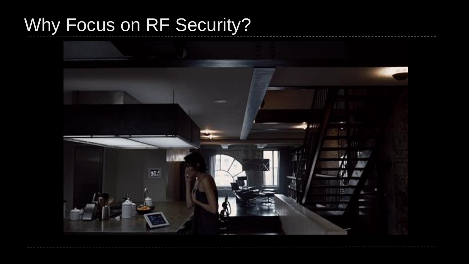#### Why Focus on RF Security?

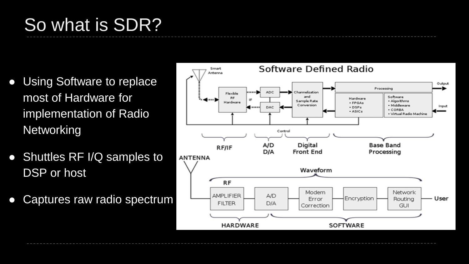## So what is SDR?

- Using Software to replace most of Hardware for implementation of Radio **Networking**
- Shuttles RF I/Q samples to DSP or host
- Captures raw radio spectrum

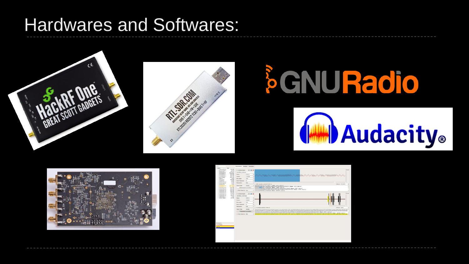#### Hardwares and Softwares:











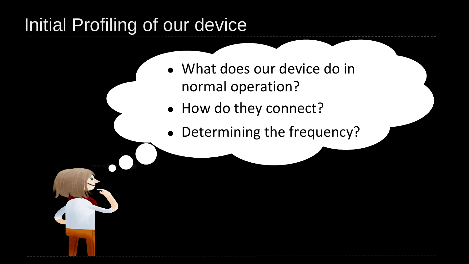#### Initial Profiling of our device

- What does our device do in normal operation?
- How do they connect?
- Determining the frequency?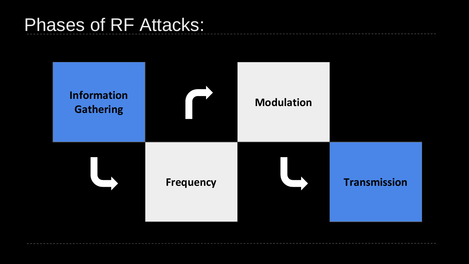#### Phases of RF Attacks:

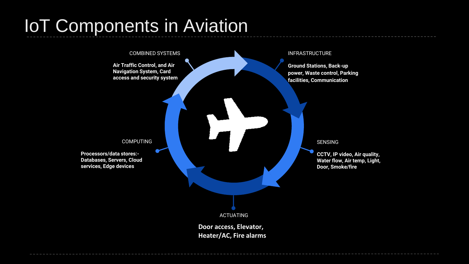## IoT Components in Aviation

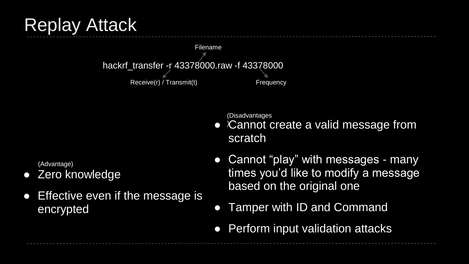

(Advantage)

Zero knowledge

Replay Attack

● Effective even if the message is encrypted

(Disadvantages

- Cannot create a valid message from scratch
- Cannot "play" with messages many times you'd like to modify a message based on the original one
- Tamper with ID and Command
- Perform input validation attacks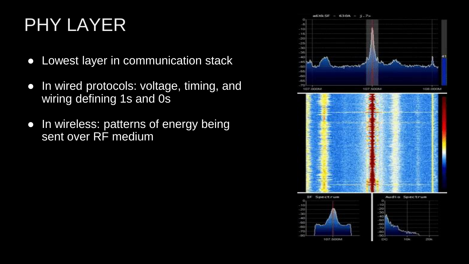### PHY LAYER

- Lowest layer in communication stack
- In wired protocols: voltage, timing, and wiring defining 1s and 0s
- In wireless: patterns of energy being sent over RF medium

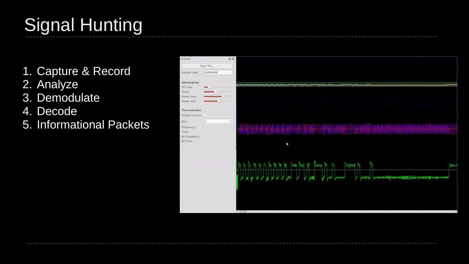## Signal Hunting

- 1. Capture & Record
- 2. Analyze
- 3. Demodulate
- 4. Decode
- 5. Informational Packets

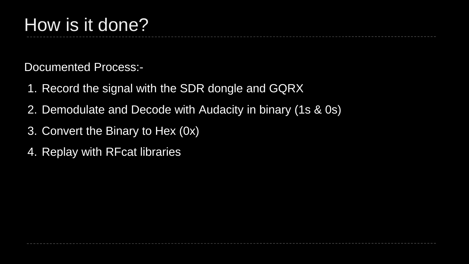Documented Process:-

- 1. Record the signal with the SDR dongle and GQRX
- 2. Demodulate and Decode with Audacity in binary (1s & 0s)
- 3. Convert the Binary to Hex (0x)
- 4. Replay with RFcat libraries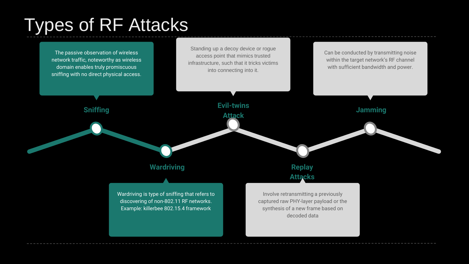#### Types of RF Attacks

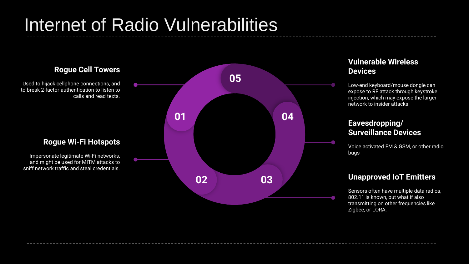#### Internet of Radio Vulnerabilities

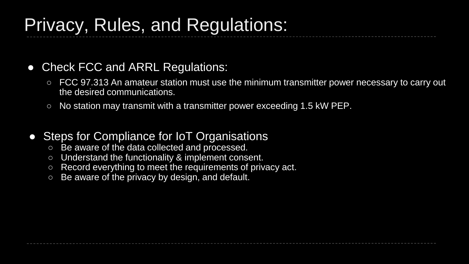#### Privacy, Rules, and Regulations:

#### • Check FCC and ARRL Regulations:

- FCC 97.313 An amateur station must use the minimum transmitter power necessary to carry out the desired communications.
- No station may transmit with a transmitter power exceeding 1.5 kW PEP.

#### • Steps for Compliance for IoT Organisations

- Be aware of the data collected and processed.
- Understand the functionality & implement consent.
- Record everything to meet the requirements of privacy act.
- Be aware of the privacy by design, and default.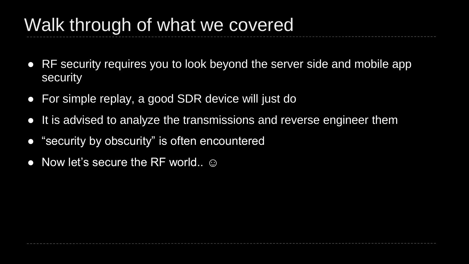#### Walk through of what we covered

- RF security requires you to look beyond the server side and mobile app security
- For simple replay, a good SDR device will just do
- It is advised to analyze the transmissions and reverse engineer them
- "security by obscurity" is often encountered
- $\bullet$  Now let's secure the RF world..  $\odot$